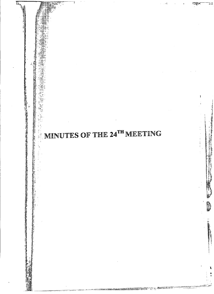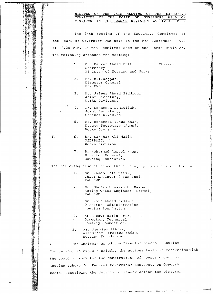|                                                                                                             |    |    | MINUTES<br>OF<br>THE<br>24TH<br>MEETING<br>OF<br>THE<br><b>EXECUTIVE</b><br>COMMITTEE<br>OF.<br>THE<br><b>BOARD</b><br>OF.<br>GOVERNORS HELD<br>ON. |
|-------------------------------------------------------------------------------------------------------------|----|----|-----------------------------------------------------------------------------------------------------------------------------------------------------|
|                                                                                                             |    |    | 9.9.1990 IN<br><b>THE</b><br>WORKS<br><b>DIVISION</b><br>12.30<br><b>AT</b><br>P.M.                                                                 |
|                                                                                                             |    |    |                                                                                                                                                     |
|                                                                                                             |    |    | The 24th meeting of the Executive Committee of                                                                                                      |
|                                                                                                             |    |    | the Board of Governors was held on the 9th September, 1990                                                                                          |
|                                                                                                             |    |    | at 12.30 P.M. in the Committee Room of the Works Division.                                                                                          |
|                                                                                                             |    |    | The following attended the meeting:-                                                                                                                |
|                                                                                                             |    | 1. | Mr. Parvez Ahmad Butt,<br>Chairman<br>Secretary,<br>Ministry of Housing and Works.                                                                  |
|                                                                                                             |    | 2. | Mr. M.I.Rajput,<br>Director General,<br>Pak PWD.                                                                                                    |
|                                                                                                             |    | 3. | Mr. Jalees Ahmad Siddiqui,<br>Joint Secretary,<br>Works Division.                                                                                   |
|                                                                                                             |    | 4. | Mr. Mohammad Samiullah,<br>Joint Secretary,<br>Cabinet Division,                                                                                    |
|                                                                                                             |    | 5. | Mr. Mohammad Yunus Khan,<br>Deputy Secretary (Admn),<br>Works Division.                                                                             |
|                                                                                                             | 6. | 6. | Mr. Sarshar Ali Malik,<br>$OSD(PSEC)$ , $\cdot$<br>Works Division.                                                                                  |
|                                                                                                             |    | 7. | Dr Mohammad Rasool Khan,<br>Director General,<br>Housing Foundation,                                                                                |
|                                                                                                             |    |    | The following also attended the meeting by special invitation:-                                                                                     |
|                                                                                                             |    | 1. | Mr. Masood Ali Zaidi,<br>Chief Engineer (Planning),<br>Pak PWD.                                                                                     |
|                                                                                                             |    | 2. | Mr. Chulam Hussain H. Memon,<br>Acting Chief Engineer (North),<br>Pak PWD.                                                                          |
|                                                                                                             |    | 3. | Mr. Moin Ahmad Siddici,<br>Director, Administration,<br>Housing Foundation.                                                                         |
| <b>这个人的人都是不是一个人的人,我们的人都不是一个人的人,我们的人都不是一个人的人,我们的人都不是一个人的人,我们的人都不是一个人的人,我们的人都不是一个人的人,我们的人都不是一个人的人,我们的人都不是</b> |    | 4. | Mr. Abdul Hamid Arif,<br>Director, Technical,<br>Housing Foundation.                                                                                |
|                                                                                                             |    | 5. | Mr. Perviez Akhter,<br>Assistant Director (Admn),<br>Housing Foundation.                                                                            |
|                                                                                                             | 2. |    | The Chairman asked the Director General, Housing                                                                                                    |
|                                                                                                             |    |    | Foundation, to explain briefly the actions taken in connection with                                                                                 |
|                                                                                                             |    |    | the award of work for the construction of houses under the                                                                                          |
|                                                                                                             |    |    | Housing Scheme for Federal Government employees on Ownership                                                                                        |
|                                                                                                             |    |    | basis. Describing the details of tender action the Director                                                                                         |

π

**ART** 

 $\frac{1}{2}$ 

 $\begin{array}{c} 1 \\ 1 \\ 2 \\ 3 \\ 4 \\ 1 \end{array}$ 

2月19日には、「1999年の日本語の「1999年の「1999年の日本語」ということによって、「1999年の1999年の「1999年の1999年の1999年の1999年に、「1999年の1999年には、 1999年には、「1999年には、1999年の1999年の1999年には、「1999年の1999年には、「1999年の1999年には、「1999年には、1999年には、1999年には、1999年には、1999年には、1999年には、19

 $\frac{1}{2}$ 

 $\cdot$ 

おおす アルチン 正正字 素色の

ţ.

l,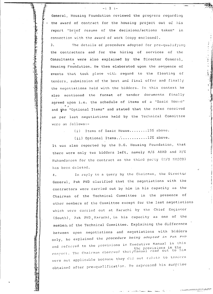General, Housing Foundation reviewed the progress regarding the award of contract for the housing project out of his report "brief resume of the decisions/actions taken" in connection with the award of work (copy enclosed).

 $-: 2 : -$ 

 $\overline{3}$ . The details of procedure adopted for pre-qualifying the contractors and for the hiring of services of the Consultants were also explained by the Director General, Housing Foundation. He then elaborated upon the sequence of events that took place with regard to the floating of tenders, submission of the best and final offer and finally the negotiations held with the bidders. In this context he also mentioned the format of tender documents finally agreed upon i.e. the schedule of items of a "Basic House" and the "Optional Items" and stated that the rates received as per last negotiations held by the Technical Committee were as follows:-

(i) Items of Basic House........15% above.

(ii) Optional Items..............12% above.

It was also reported by the D.G. Housing Foundation, that there were only two bidders left, namely M/S ABAD and M/S Muhandascen for the contract as the third party (B/S NASCO) has been deleted.

In reply to a query by the Chairman, the Director  $4.$ General, Pak PWD clarified that the negotiations with the contractors were carried out by him in his capacity as the Chairman of the Technical Committee in the presence of other members of the Committee except for the last negotiations which were carried out at Karachi by the Chief Engineer (South), Pak PND, Karachi, in his capacity as one of the member, of the Technical Committee. Explaining the difference between open negotiations and negotiations with bidders only, he explained the procedure being adopted in Pak PWD and referred to the provisions in Executive Manual in this the provisions in the<br>respect. The Chairman ebserved that/Manual read out to him were not applicable because they did not relate to tenders obtained after pre-qualification. He expressed his surprise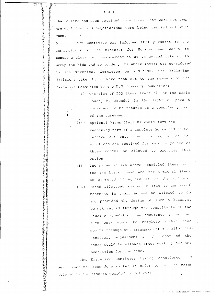that offers had been obtained from firms that were not even pre-qualified and negotiations were being carried out with them.  $\overline{1}$ 

 $-$ : 3 :  $-$ 

李家 计自动设备管理系统 人情的意思 我说了我

 $\frac{1}{2}$ 

计管理机 化二硫酸盐 网络海绵属海绵属海绵属海绵属海绵属

 $\frac{1}{2}$ أستريد

あいまん のころ 海中の あ

○ 地震の のけんのう のうかん あんのう とうしょう あんてき あんない あんなん

あまま のうち

The Committee was informed that pursuant to the  $5.$ instructions of the Minister for Housing and Works to submit a clear cut recommendation at an agreed rate or to scrap the bids and re-tender, the whole matter was considered by the Technical Committee on 2.9.1990. The following decisions taken by it were read out to the members of the Executive Committee by the D.G. Housing Foundation:-

> (i) The list of BOQ items (Part A) for the Basic House, be amended in the light of para 5 above and to be treated as a compulsory part of the agreement.

(ii) optional items (Part B) would form the remaining part of a complete house and to be carried out only when the request of the allottees are received for which a period of three months be allowed to exercise this option.

- (iii) The rates of 12% above scheduled items both for the basic house and the optional items be approved if agreed to by the bidders.
	- (iv) Those allottees who would like to construct basement in their houses be allowed to do so, provided the design of such a basement be got vetted through the consultants of the Housing Foundation and assurance given that such work would be complete within four months through own arrangement of the allottees. Necessary adjustment in the cost of the house would be allowed after working out the modalities for the same.

The Executive Committee having considered and  $6.$ heard what has been done so far in order to get the rates reduced by the bidders decided as follows:-